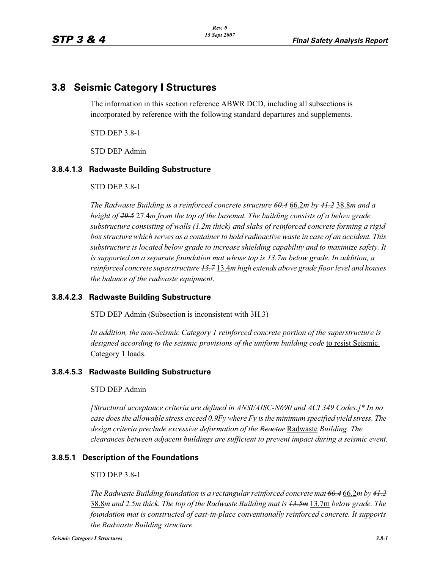# **3.8 Seismic Category I Structures**

The information in this section reference ABWR DCD, including all subsections is incorporated by reference with the following standard departures and supplements.

STD DEP 3.8-1

STD DEP Admin

#### **3.8.4.1.3 Radwaste Building Substructure**

STD DEP 3.8-1

*The Radwaste Building is a reinforced concrete structure 60.4* 66.2*m by 41.2* 38.8*m and a height of 29.5* 27.4*m from the top of the basemat. The building consists of a below grade substructure consisting of walls (1.2m thick) and slabs of reinforced concrete forming a rigid box structure which serves as a container to hold radioactive waste in case of an accident. This substructure is located below grade to increase shielding capability and to maximize safety. It is supported on a separate foundation mat whose top is 13.7m below grade. In addition, a reinforced concrete superstructure 15.7* 13.4*m high extends above grade floor level and houses the balance of the radwaste equipment.*

#### **3.8.4.2.3 Radwaste Building Substructure**

STD DEP Admin (Subsection is inconsistent with 3H.3)

*In addition, the non-Seismic Category 1 reinforced concrete portion of the superstructure is designed according to the seismic provisions of the uniform building code* to resist Seismic Category 1 loads.

#### **3.8.4.5.3 Radwaste Building Substructure**

#### STD DEP Admin

*[Structural acceptance criteria are defined in ANSI/AISC-N690 and ACI 349 Codes.]\* In no case does the allowable stress exceed 0.9Fy where Fy is the minimum specified yield stress. The design criteria preclude excessive deformation of the Reactor* Radwaste *Building. The clearances between adjacent buildings are sufficient to prevent impact during a seismic event.*

#### **3.8.5.1 Description of the Foundations**

#### STD DEP 3.8-1

*The Radwaste Building foundation is a rectangular reinforced concrete mat 60.4* 66.2*m by 41.2* 38.8*m and 2.5m thick. The top of the Radwaste Building mat is 13.5m* 13.7m *below grade. The foundation mat is constructed of cast-in-place conventionally reinforced concrete. It supports the Radwaste Building structure.*